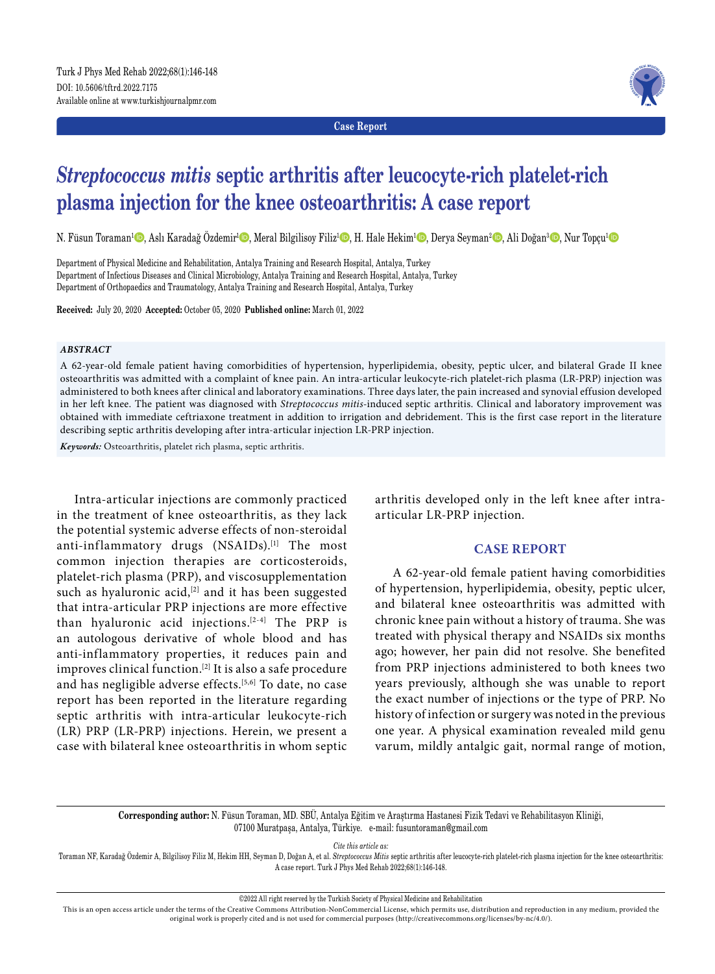**Case Report**



# *Streptococcus mitis* **septic arthritis after leucocyte-rich platelet-rich plasma injection for the knee osteoarthritis: A case report**

N. Füsun Toraman<sup>1</sup>©, Aslı Karadağ Özdemir<sup>ı</sup>©, Meral Bilgilisoy Filiz<sup>ı</sup>©, H. Hale Hekim<sup>ı</sup>⊙, Derya Seyman<sup>2</sup>©, Ali Doğan<sup>3</sup>©, Nur Topçu<sup>ı</sup>©

Department of Physical Medicine and Rehabilitation, Antalya Training and Research Hospital, Antalya, Turkey Department of Infectious Diseases and Clinical Microbiology, Antalya Training and Research Hospital, Antalya, Turkey Department of Orthopaedics and Traumatology, Antalya Training and Research Hospital, Antalya, Turkey

**Received:** July 20, 2020 **Accepted:** October 05, 2020 **Published online:** March 01, 2022

#### *ABSTRACT*

A 62-year-old female patient having comorbidities of hypertension, hyperlipidemia, obesity, peptic ulcer, and bilateral Grade II knee osteoarthritis was admitted with a complaint of knee pain. An intra-articular leukocyte-rich platelet-rich plasma (LR-PRP) injection was administered to both knees after clinical and laboratory examinations. Three days later, the pain increased and synovial effusion developed in her left knee. The patient was diagnosed with *Streptococcus mitis*-induced septic arthritis. Clinical and laboratory improvement was obtained with immediate ceftriaxone treatment in addition to irrigation and debridement. This is the first case report in the literature describing septic arthritis developing after intra-articular injection LR-PRP injection.

*Keywords:* Osteoarthritis, platelet rich plasma, septic arthritis.

Intra-articular injections are commonly practiced in the treatment of knee osteoarthritis, as they lack the potential systemic adverse effects of non-steroidal anti-inflammatory drugs (NSAIDs).<sup>[1]</sup> The most common injection therapies are corticosteroids, platelet-rich plasma (PRP), and viscosupplementation such as hyaluronic acid, $[2]$  and it has been suggested that intra-articular PRP injections are more effective than hyaluronic acid injections.[2-4] The PRP is an autologous derivative of whole blood and has anti-inflammatory properties, it reduces pain and improves clinical function.[2] It is also a safe procedure and has negligible adverse effects.[5,6] To date, no case report has been reported in the literature regarding septic arthritis with intra-articular leukocyte-rich (LR) PRP (LR-PRP) injections. Herein, we present a case with bilateral knee osteoarthritis in whom septic arthritis developed only in the left knee after intraarticular LR-PRP injection.

## **CASE REPORT**

A 62-year-old female patient having comorbidities of hypertension, hyperlipidemia, obesity, peptic ulcer, and bilateral knee osteoarthritis was admitted with chronic knee pain without a history of trauma. She was treated with physical therapy and NSAIDs six months ago; however, her pain did not resolve. She benefited from PRP injections administered to both knees two years previously, although she was unable to report the exact number of injections or the type of PRP. No history of infection or surgery was noted in the previous one year. A physical examination revealed mild genu varum, mildly antalgic gait, normal range of motion,

**Corresponding author:** N. Füsun Toraman, MD. SBÜ, Antalya Eğitim ve Araştırma Hastanesi Fizik Tedavi ve Rehabilitasyon Kliniği, 07100 Muratpaşa, Antalya, Türkiye. e-mail: fusuntoraman@gmail.com

*Cite this article as:*

Toraman NF, Karadağ Özdemir A, Bilgilisoy Filiz M, Hekim HH, Seyman D, Doğan A, et al. *Streptococcus Mitis* septic arthritis after leucocyte-rich platelet-rich plasma injection for the knee osteoarthritis: A case report. Turk J Phys Med Rehab 2022;68(1):146-148.

©2022 All right reserved by the Turkish Society of Physical Medicine and Rehabilitation

This is an open access article under the terms of the Creative Commons Attribution-NonCommercial License, which permits use, distribution and reproduction in any medium, provided the original work is properly cited and is not used for commercial purposes (http://creativecommons.org/licenses/by-nc/4.0/).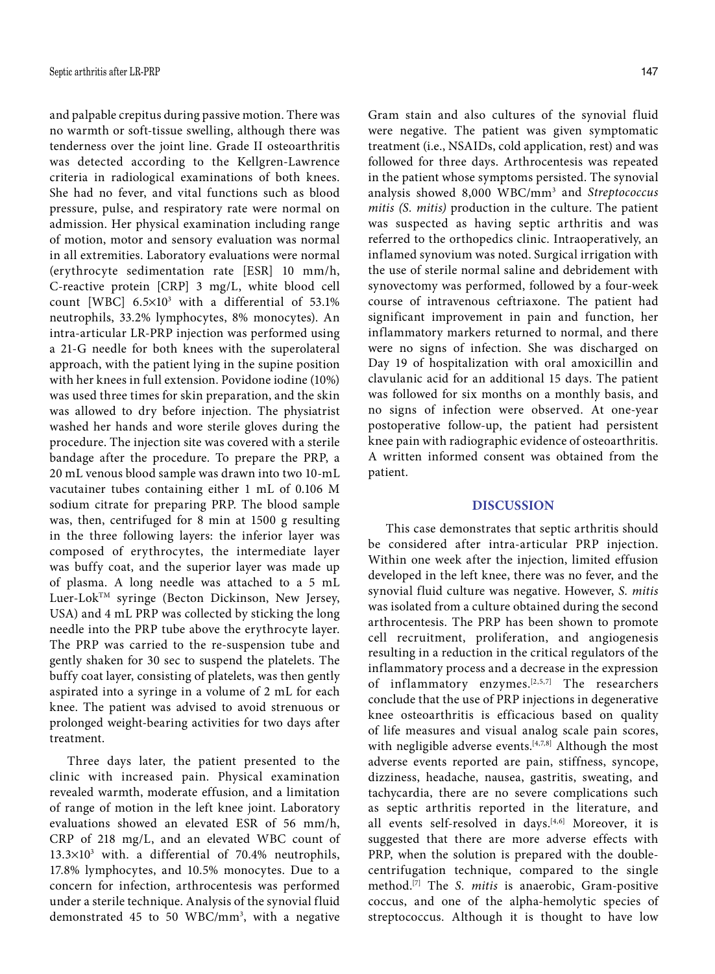and palpable crepitus during passive motion. There was no warmth or soft-tissue swelling, although there was tenderness over the joint line. Grade II osteoarthritis was detected according to the Kellgren-Lawrence criteria in radiological examinations of both knees. She had no fever, and vital functions such as blood pressure, pulse, and respiratory rate were normal on admission. Her physical examination including range of motion, motor and sensory evaluation was normal in all extremities. Laboratory evaluations were normal (erythrocyte sedimentation rate [ESR] 10 mm/h, C-reactive protein [CRP] 3 mg/L, white blood cell count [WBC]  $6.5 \times 10^3$  with a differential of 53.1% neutrophils, 33.2% lymphocytes, 8% monocytes). An intra-articular LR-PRP injection was performed using a 21-G needle for both knees with the superolateral approach, with the patient lying in the supine position with her knees in full extension. Povidone iodine (10%) was used three times for skin preparation, and the skin was allowed to dry before injection. The physiatrist washed her hands and wore sterile gloves during the procedure. The injection site was covered with a sterile bandage after the procedure. To prepare the PRP, a 20 mL venous blood sample was drawn into two 10-mL vacutainer tubes containing either 1 mL of 0.106 M sodium citrate for preparing PRP. The blood sample was, then, centrifuged for 8 min at 1500 g resulting in the three following layers: the inferior layer was composed of erythrocytes, the intermediate layer was buffy coat, and the superior layer was made up of plasma. A long needle was attached to a 5 mL Luer-LokTM syringe (Becton Dickinson, New Jersey, USA) and 4 mL PRP was collected by sticking the long needle into the PRP tube above the erythrocyte layer. The PRP was carried to the re-suspension tube and gently shaken for 30 sec to suspend the platelets. The buffy coat layer, consisting of platelets, was then gently aspirated into a syringe in a volume of 2 mL for each knee. The patient was advised to avoid strenuous or prolonged weight-bearing activities for two days after treatment.

Three days later, the patient presented to the clinic with increased pain. Physical examination revealed warmth, moderate effusion, and a limitation of range of motion in the left knee joint. Laboratory evaluations showed an elevated ESR of 56 mm/h, CRP of 218 mg/L, and an elevated WBC count of  $13.3\times10^3$  with. a differential of 70.4% neutrophils, 17.8% lymphocytes, and 10.5% monocytes. Due to a concern for infection, arthrocentesis was performed under a sterile technique. Analysis of the synovial fluid demonstrated 45 to 50 WBC/mm3 , with a negative Gram stain and also cultures of the synovial fluid were negative. The patient was given symptomatic treatment (i.e., NSAIDs, cold application, rest) and was followed for three days. Arthrocentesis was repeated in the patient whose symptoms persisted. The synovial analysis showed 8,000 WBC/mm3 and *Streptococcus mitis (S. mitis)* production in the culture. The patient was suspected as having septic arthritis and was referred to the orthopedics clinic. Intraoperatively, an inflamed synovium was noted. Surgical irrigation with the use of sterile normal saline and debridement with synovectomy was performed, followed by a four-week course of intravenous ceftriaxone. The patient had significant improvement in pain and function, her inflammatory markers returned to normal, and there were no signs of infection. She was discharged on Day 19 of hospitalization with oral amoxicillin and clavulanic acid for an additional 15 days. The patient was followed for six months on a monthly basis, and no signs of infection were observed. At one-year postoperative follow-up, the patient had persistent knee pain with radiographic evidence of osteoarthritis. A written informed consent was obtained from the patient.

## **DISCUSSION**

This case demonstrates that septic arthritis should be considered after intra-articular PRP injection. Within one week after the injection, limited effusion developed in the left knee, there was no fever, and the synovial fluid culture was negative. However, *S. mitis* was isolated from a culture obtained during the second arthrocentesis. The PRP has been shown to promote cell recruitment, proliferation, and angiogenesis resulting in a reduction in the critical regulators of the inflammatory process and a decrease in the expression of inflammatory enzymes.[2,5,7] The researchers conclude that the use of PRP injections in degenerative knee osteoarthritis is efficacious based on quality of life measures and visual analog scale pain scores, with negligible adverse events.<sup>[4,7,8]</sup> Although the most adverse events reported are pain, stiffness, syncope, dizziness, headache, nausea, gastritis, sweating, and tachycardia, there are no severe complications such as septic arthritis reported in the literature, and all events self-resolved in days.<sup>[4,6]</sup> Moreover, it is suggested that there are more adverse effects with PRP, when the solution is prepared with the doublecentrifugation technique, compared to the single method.[7] The *S. mitis* is anaerobic, Gram-positive coccus, and one of the alpha-hemolytic species of streptococcus. Although it is thought to have low